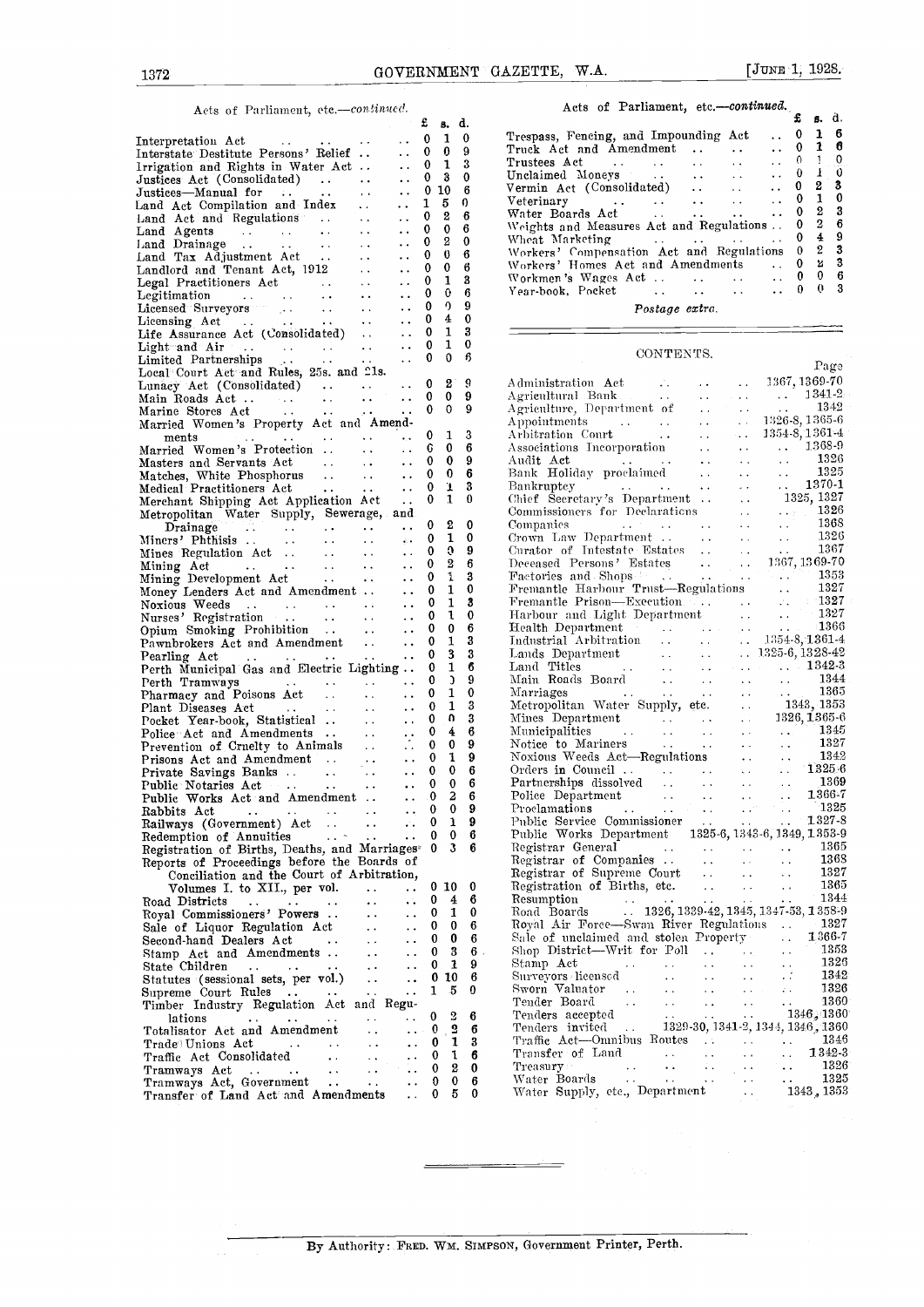### Acts of Parliament, etc .- continued.

|                                                                                                                                                                                                                                                                                                                                           |                      |                             |                                     | £            | ß.                      | ₫.     |                                     |
|-------------------------------------------------------------------------------------------------------------------------------------------------------------------------------------------------------------------------------------------------------------------------------------------------------------------------------------------|----------------------|-----------------------------|-------------------------------------|--------------|-------------------------|--------|-------------------------------------|
| Interpretation Act<br>and the second service                                                                                                                                                                                                                                                                                              |                      | $\sim$                      | . .                                 | 0            | 1                       | 0      | $\operatorname{Tr}\nolimits$<br>Trı |
| Interstate Destitute Persons' Relief                                                                                                                                                                                                                                                                                                      |                      |                             | $\ddot{\phantom{0}}$                | 0            | 0<br>1                  | 9<br>3 | Tri                                 |
| Irrigation and Rights in Water Act                                                                                                                                                                                                                                                                                                        |                      |                             | $\ddot{\phantom{0}}$                | 0<br>0 3     |                         | 0      | Un                                  |
| Justices Act (Consolidated)<br>Justices—Manual for<br>Land Act Compilation and Index<br>Land Act and Regulations<br>Land Agents<br>Land Drainage<br>Land Drainage<br>Land Tax Adjustment Act<br>Landlord and Tenant Act, 1912<br>Legal Practitioners Act<br>Legal Practitioners                                                           |                      |                             | $\ddotsc$<br>$\ddot{\phantom{a}}$ . | 0 10         |                         | 6      | V ei                                |
|                                                                                                                                                                                                                                                                                                                                           |                      |                             | $\ddotsc$                           | 1            | 5                       | ŋ      | Ve                                  |
|                                                                                                                                                                                                                                                                                                                                           |                      |                             | $\sim$ $\sim$                       | 0            | 2                       | 6      | $W_i$                               |
|                                                                                                                                                                                                                                                                                                                                           |                      |                             | $\ddotsc$                           | 0            | 0                       | 6      | W٢                                  |
|                                                                                                                                                                                                                                                                                                                                           |                      |                             | $\ddotsc$                           | 0            | 2                       | 0      | WI                                  |
|                                                                                                                                                                                                                                                                                                                                           |                      |                             | $\ddots$                            | 0            | Ü                       | 6      | $W_0$<br>W,                         |
|                                                                                                                                                                                                                                                                                                                                           |                      |                             | $\ddot{\phantom{0}}$                | 0<br>0       | 0<br>1                  | 6<br>3 | W (                                 |
|                                                                                                                                                                                                                                                                                                                                           |                      |                             | $\ddot{\phantom{1}}$                | 0            | 0                       | 6      | Yе                                  |
|                                                                                                                                                                                                                                                                                                                                           |                      |                             | $\ddotsc$<br>$\ddot{\phantom{1}}$ . | 0            | 9.                      | 9      |                                     |
|                                                                                                                                                                                                                                                                                                                                           |                      |                             | $\ddots$                            | 0            | 4                       | 0      |                                     |
|                                                                                                                                                                                                                                                                                                                                           |                      |                             | $\ddotsc$                           | 0            | 1                       | 3      |                                     |
|                                                                                                                                                                                                                                                                                                                                           |                      |                             | $\ddot{\phantom{a}}$ .              | 0            | 1                       | 0      |                                     |
|                                                                                                                                                                                                                                                                                                                                           |                      |                             | $\sim$ $\sim$                       | 0            | 0                       | В      |                                     |
| Local Court Act and Rules, 25s. and 21s.                                                                                                                                                                                                                                                                                                  |                      |                             |                                     |              |                         |        |                                     |
|                                                                                                                                                                                                                                                                                                                                           |                      |                             |                                     | 0            | $\mathbf{S}$            | 9<br>9 | Αd                                  |
|                                                                                                                                                                                                                                                                                                                                           |                      |                             |                                     | 0<br>0       | 0<br>0                  | 9      | Αg<br>Αg                            |
| Married Women's Property Act and Amend-                                                                                                                                                                                                                                                                                                   |                      | $\mathcal{L}_{\mathcal{F}}$ |                                     |              |                         |        | Аp                                  |
|                                                                                                                                                                                                                                                                                                                                           |                      |                             | $\rightarrow$ .                     | 0            | 1                       | 3      | Аr                                  |
| ments<br>Married Women's Protection                                                                                                                                                                                                                                                                                                       |                      |                             | $\sim$ $\sim$                       | G            | 0                       | 6      | Αs                                  |
| Masters and Servants Act<br>$\sim 10^{11}$ km s $^{-1}$                                                                                                                                                                                                                                                                                   |                      | $\sim 100$                  | $\ddots$                            | 0            | 0                       | 9      | Αu                                  |
|                                                                                                                                                                                                                                                                                                                                           |                      |                             | $\ddots$                            | 0            | 0                       | 6      | Bа                                  |
| Matches, White Phosphorus<br>Medical Practitioners Act                                                                                                                                                                                                                                                                                    |                      |                             | $\ldots$                            | 0            | 1                       | 3      | Ba                                  |
| Merchant Shipping Act Application Act                                                                                                                                                                                                                                                                                                     |                      |                             |                                     | 0            | 1                       | 0      | Ch                                  |
| Metropolitan Water Supply, Sewerage, and                                                                                                                                                                                                                                                                                                  |                      |                             |                                     |              |                         |        | Cо                                  |
| Trainage<br>Miners' Phthisis<br>Mines Regulation Act<br>Mining Act<br>Mining Development Act<br>Mining Development Act<br>Mining Development Act<br>Mining Development Act                                                                                                                                                                |                      |                             |                                     | 0            | 2                       | 0      | Cо                                  |
|                                                                                                                                                                                                                                                                                                                                           |                      |                             |                                     | 0            | 1                       | 0      | Cr                                  |
|                                                                                                                                                                                                                                                                                                                                           |                      |                             |                                     | 0            | O<br>2                  | 9<br>6 | Сu<br>De                            |
|                                                                                                                                                                                                                                                                                                                                           |                      |                             |                                     | 0<br>0       | 1                       | 3      | Fa                                  |
|                                                                                                                                                                                                                                                                                                                                           |                      |                             | $\ddotsc$                           | 0            | 1                       | 0      | Fr                                  |
| Money Lenders Act and Amendment                                                                                                                                                                                                                                                                                                           |                      |                             | $\ddotsc$                           | 0            | 1                       | 3      | Fr                                  |
|                                                                                                                                                                                                                                                                                                                                           |                      |                             | $\ddot{\phantom{1}}$ .              | 0            | 1                       | 0      | $\rm Hz$                            |
| Notious Weeds<br>Noxious Weeds<br>Nurses' Registration<br>Opium Smoking Prohibition<br>Pawnbrokers Act and Amendment<br>Pearling Act                                                                                                                                                                                                      |                      |                             | $\ddot{\phantom{0}}$                | 0            | 0                       | 6      | $\rm H$                             |
|                                                                                                                                                                                                                                                                                                                                           |                      |                             | $\ddotsc$                           | 0            | 1                       | 3      | Тn                                  |
| Pearling Act<br>$\mathcal{L}(\mathcal{A},\mathcal{A})$ . The contribution of $\mathcal{A}$                                                                                                                                                                                                                                                |                      | $\mathcal{L}$               | $\cdots$                            | 0            | 3                       | 3      | La                                  |
| Perth Municipal Gas and Electric Lighting                                                                                                                                                                                                                                                                                                 |                      |                             |                                     | 0            | 1                       | 6      | La                                  |
|                                                                                                                                                                                                                                                                                                                                           |                      |                             |                                     | 0            | C                       | 9      | M:                                  |
|                                                                                                                                                                                                                                                                                                                                           |                      |                             |                                     | 0            | 1                       | 0      | M:                                  |
| $\frac{1}{1}$ $\frac{1}{1}$ $\frac{1}{1}$ $\frac{1}{1}$ $\frac{1}{1}$ $\frac{1}{1}$ $\frac{1}{1}$ $\frac{1}{1}$ $\frac{1}{1}$ $\frac{1}{1}$ $\frac{1}{1}$ $\frac{1}{1}$ $\frac{1}{1}$ $\frac{1}{1}$ $\frac{1}{1}$ $\frac{1}{1}$ $\frac{1}{1}$ $\frac{1}{1}$ $\frac{1}{1}$ $\frac{1}{1}$ $\frac{1}{1}$ $\frac{1}{1}$<br>Plant Diseases Act |                      |                             | $\ddotsc$                           | 0            | 1                       | 3      | M                                   |
| Pocket Year-book, Statistical                                                                                                                                                                                                                                                                                                             |                      |                             | $\sim 10$                           | 0<br>0       | n<br>4                  | 3<br>6 | M.<br>$\mathbf{M}$                  |
| Police <i>A</i> and Amendments<br>Prevention of Crnelty to Animals<br>Prevention of Crnelty to Animals<br>Prisons Act and Amendment<br>Private Savings Banks<br>Public Notaries Act<br>Public Notaries Act<br>Public Notaries Act<br>Public Notarie                                                                                       |                      |                             |                                     | 0            | 0                       | 9      | N                                   |
|                                                                                                                                                                                                                                                                                                                                           |                      |                             |                                     | 0            | 1                       | 9      | N                                   |
|                                                                                                                                                                                                                                                                                                                                           |                      |                             |                                     | 0            | 0                       | 6      | O1                                  |
|                                                                                                                                                                                                                                                                                                                                           |                      |                             |                                     | $\mathbf{0}$ | 0                       | 6      | $\mathbf{P}\varepsilon$             |
| Public Works Act and Amendment                                                                                                                                                                                                                                                                                                            |                      |                             | $\ldots$ 0                          |              | $\overline{\mathbf{z}}$ | 6      | P <sub>C</sub>                      |
|                                                                                                                                                                                                                                                                                                                                           |                      |                             | $\ddotsc$                           | 0            | 0                       | 9      | $\rm{Pr}$                           |
| Railways (Government) Act                                                                                                                                                                                                                                                                                                                 | $\sim$ $\sim$        | $\ddotsc$                   | г.                                  | 0            | ı                       | 9      | Pı                                  |
| Redemption of Annuities                                                                                                                                                                                                                                                                                                                   | $\sim 10^{-2}$       | $\ddot{\phantom{0}}$        | $\ddot{\phantom{0}}$                | 0            | 0                       | 6      | $\mathbf{P}$                        |
| Registration of Births, Deaths, and Marriages®                                                                                                                                                                                                                                                                                            |                      |                             |                                     | 0            | 3                       | 6      | Rε                                  |
| Reports of Proceedings before the Boards of                                                                                                                                                                                                                                                                                               |                      |                             |                                     |              |                         |        | $_{\rm R}$                          |
| Conciliation and the Court of Arbitration,                                                                                                                                                                                                                                                                                                |                      |                             |                                     |              |                         |        | Rα                                  |
| Volumes I. to XII., per vol.                                                                                                                                                                                                                                                                                                              |                      |                             | . .                                 | 0            | 10                      | 0      | R٥                                  |
| Road Districts<br>$\sim$ $\sim$<br>$\rightarrow$ $\rightarrow$                                                                                                                                                                                                                                                                            |                      |                             | ٠ï.                                 | 0            | 4                       | 6      | R(                                  |
| Royal Commissioners' Powers                                                                                                                                                                                                                                                                                                               |                      |                             | . .                                 | 0            | 1                       | 0      | Rα<br>R٥                            |
| Sale of Liquor Regulation Act                                                                                                                                                                                                                                                                                                             |                      |                             | . .                                 | 0            | 0<br>0                  | 6<br>6 | $\mathbf{S}_t$                      |
| Second-hand Dealers Act                                                                                                                                                                                                                                                                                                                   |                      | $\ddot{\phantom{0}}$        | . .                                 | 0<br>0       | 3                       | 6      | Sl                                  |
| Stamp Act and Amendments                                                                                                                                                                                                                                                                                                                  |                      | $\ddot{\phantom{0}}$        | . .<br>. .                          | 0            | 1                       | 9      | St                                  |
| State Children<br>$\sim 100$<br>$\cdots$<br>Statutes (sessional sets, per vol.)                                                                                                                                                                                                                                                           | $\ddot{\phantom{0}}$ | $\ddot{\phantom{0}}$        | $\ddot{\phantom{0}}$                |              | 0 10                    | 6      | Sι                                  |
| Supreme Court Rules<br>$\cdots$                                                                                                                                                                                                                                                                                                           |                      | $\ddot{\phantom{a}}$        | . .                                 | 1            | 5                       | 0      | S۱                                  |
| Timber Industry Regulation Act and                                                                                                                                                                                                                                                                                                        |                      | Regu-                       |                                     |              |                         |        | T:                                  |
| lations                                                                                                                                                                                                                                                                                                                                   |                      | $\ddot{\phantom{0}}$        |                                     | 0            | 2                       | 6      | т                                   |
| Totalisator Act and Amendment                                                                                                                                                                                                                                                                                                             |                      |                             | . .                                 | 0            | 2                       | 6      | т                                   |
| Trade <sup>3</sup> Unions Act<br>$\ddot{\phantom{1}}$ .                                                                                                                                                                                                                                                                                   | $\sim$ $\sim$        |                             | $\ddot{\phantom{0}}$                | 0            | 1                       | 3      | Τ,                                  |
| Traffic Act Consolidated                                                                                                                                                                                                                                                                                                                  | $\ddot{\phantom{1}}$ |                             |                                     | 0            | 1                       | 6      | T.                                  |
| Tramways Act<br>$\sim$ $\sim$                                                                                                                                                                                                                                                                                                             | $\sim$ $\sim$        | . .                         | . .                                 | 0            | 2                       | 0      | T.                                  |
| Tramways Act, Government                                                                                                                                                                                                                                                                                                                  |                      | $\ddot{\phantom{1}}$ .      |                                     | 0            | 0                       | 6      | W                                   |
| Transfer of Land Act and Amendments                                                                                                                                                                                                                                                                                                       |                      |                             | $\ddot{\phantom{0}}$                | 0            | 5                       | 0      | N                                   |

| d.           |
|--------------|
| 6            |
| 6            |
| $\mathbf{0}$ |
| $\mathbf 0$  |
| - 3          |
| $\bf{0}$     |
| $\bf{3}$     |
| 6            |
| 9            |
| 3            |
| 3            |
| 6            |
| 3            |
|              |
|              |

#### CONTENTS.

|   |              |        | Page                                                                                                                                                                                                                                                                 |  |
|---|--------------|--------|----------------------------------------------------------------------------------------------------------------------------------------------------------------------------------------------------------------------------------------------------------------------|--|
| 0 | 2            | 9      |                                                                                                                                                                                                                                                                      |  |
| 0 | 0            | 9      |                                                                                                                                                                                                                                                                      |  |
| 0 | $\Omega$     | 9      |                                                                                                                                                                                                                                                                      |  |
|   |              |        |                                                                                                                                                                                                                                                                      |  |
| 0 | 1            | 3      |                                                                                                                                                                                                                                                                      |  |
| G | 0            | 6      |                                                                                                                                                                                                                                                                      |  |
| 0 | 0            | 9      |                                                                                                                                                                                                                                                                      |  |
| 0 | 0            | 6      |                                                                                                                                                                                                                                                                      |  |
| 0 | T            | 3      |                                                                                                                                                                                                                                                                      |  |
| 0 | 1            | 0      |                                                                                                                                                                                                                                                                      |  |
|   |              |        |                                                                                                                                                                                                                                                                      |  |
| 0 | 2            | 0      |                                                                                                                                                                                                                                                                      |  |
| 0 | $\mathbf{1}$ | 0      |                                                                                                                                                                                                                                                                      |  |
| 0 | 0            | 9      |                                                                                                                                                                                                                                                                      |  |
| 0 | 2            | 6      |                                                                                                                                                                                                                                                                      |  |
| 0 | ı            | 3      |                                                                                                                                                                                                                                                                      |  |
| 0 | $\mathbf{1}$ | 0      |                                                                                                                                                                                                                                                                      |  |
| 0 | 1            | 3      |                                                                                                                                                                                                                                                                      |  |
| 0 | 1            | 0      |                                                                                                                                                                                                                                                                      |  |
| 0 | 0            | 6      |                                                                                                                                                                                                                                                                      |  |
| 0 | 1            | 3      |                                                                                                                                                                                                                                                                      |  |
| 0 | 3            | 3      |                                                                                                                                                                                                                                                                      |  |
| 0 | 1            | 6      |                                                                                                                                                                                                                                                                      |  |
| 0 | <sup>1</sup> | 9      |                                                                                                                                                                                                                                                                      |  |
| 0 | 1            | 0      |                                                                                                                                                                                                                                                                      |  |
| 0 | 1            | 3      |                                                                                                                                                                                                                                                                      |  |
| 0 | U            | 3      |                                                                                                                                                                                                                                                                      |  |
| 0 | 4            | 6      |                                                                                                                                                                                                                                                                      |  |
| 0 | 0            | 9      |                                                                                                                                                                                                                                                                      |  |
| 0 | 1            | 9      |                                                                                                                                                                                                                                                                      |  |
| 0 | 0            | 6      |                                                                                                                                                                                                                                                                      |  |
| 0 | 0            | 6      |                                                                                                                                                                                                                                                                      |  |
| 0 | 2            | 6      |                                                                                                                                                                                                                                                                      |  |
| 0 | 0            | 9      |                                                                                                                                                                                                                                                                      |  |
| 0 | ı            | 9      |                                                                                                                                                                                                                                                                      |  |
| 0 | 0            | 6<br>6 |                                                                                                                                                                                                                                                                      |  |
| 0 | 3            |        |                                                                                                                                                                                                                                                                      |  |
|   |              |        |                                                                                                                                                                                                                                                                      |  |
|   | 010          | 0      |                                                                                                                                                                                                                                                                      |  |
| 0 | 4            | 6      |                                                                                                                                                                                                                                                                      |  |
| 0 | 1            | 0      |                                                                                                                                                                                                                                                                      |  |
| 0 | 0            | 6      |                                                                                                                                                                                                                                                                      |  |
| 0 | 0            | 6      | $\begin{tabular}{l c c c} A dminisation & Paet & 1987, 18997\\ \hline A a pointal, 1804, 1844-244, 1844-344, 1844-45, 1845-45, 1854-8, 1854-8, 1854-8, 1854-8, 1854-8, 1854-8, 1854-8, 1854-8, 1854-8, 1854-8, 1854-8, 1854-8, 1854-8, 1854-8, 1854-8, 1854-8, 1854$ |  |
| 0 | 3            | $6$ .  |                                                                                                                                                                                                                                                                      |  |
| 0 | $\mathbf{1}$ | 9      |                                                                                                                                                                                                                                                                      |  |
| 0 | 10           | 6      |                                                                                                                                                                                                                                                                      |  |
| 1 | 5            | 0      |                                                                                                                                                                                                                                                                      |  |
|   |              |        | Road Boards  1326, 1339-42, 1345, 1347-53, 1358-9<br>Royal Air Force—Swan River Regulations  1327<br>She of unclaimed and stolen Property  1367-7<br>Shop District—Writ for Poll<br>Shop District—Writ for Poll<br>Shop Act                                          |  |
| 0 | 2            | 6      |                                                                                                                                                                                                                                                                      |  |
| 0 | 2            | 6      |                                                                                                                                                                                                                                                                      |  |
| 0 | 1            | 3      |                                                                                                                                                                                                                                                                      |  |
| 0 | 1            | 6      |                                                                                                                                                                                                                                                                      |  |
| 0 | 2            | 0      |                                                                                                                                                                                                                                                                      |  |
| 0 | $\bf{0}$     | 6      |                                                                                                                                                                                                                                                                      |  |
| 0 | 5            | 0      | Transfer of Land<br>Transfer of Land<br>Transfer of Land<br>Transfer of Land<br>Change (1993)<br>Control of Land<br>Change (1994)<br>Change (1994)<br>Change (1994)<br>Change (1994)<br>Change (1995)<br>Change (1995)<br>Change (1995)<br>Change (1995)             |  |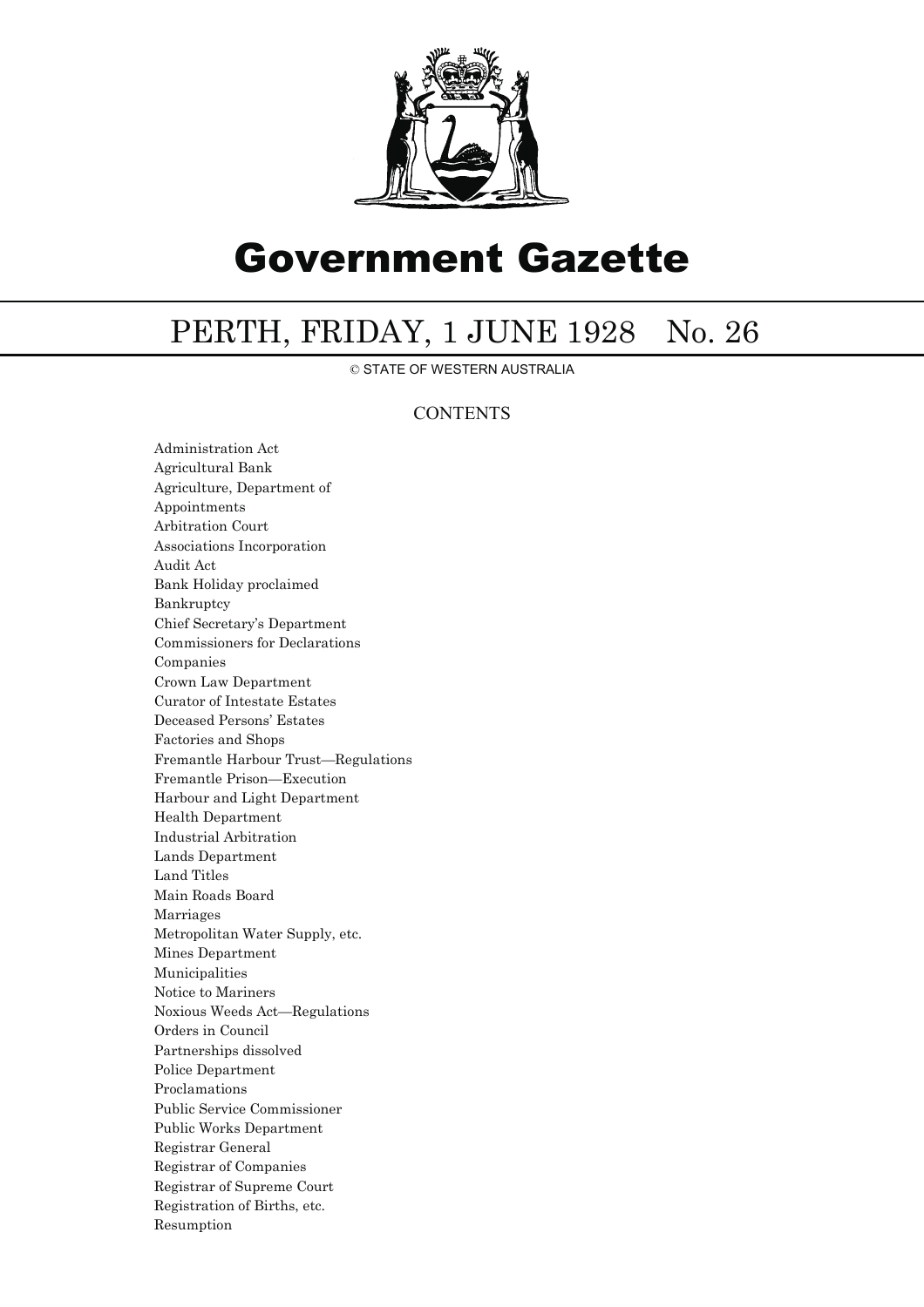

# Government Gazette

## PERTH, FRIDAY, 1 JUNE 1928 No. 26

© STATE OF WESTERN AUSTRALIA

### **CONTENTS**

Administration Act Agricultural Bank Agriculture, Department of Appointments Arbitration Court Associations Incorporation Audit Act Bank Holiday proclaimed Bankruptcy Chief Secretary's Department Commissioners for Declarations Companies Crown Law Department Curator of Intestate Estates Deceased Persons' Estates Factories and Shops Fremantle Harbour Trust—Regulations Fremantle Prison—Execution Harbour and Light Department Health Department Industrial Arbitration Lands Department Land Titles Main Roads Board Marriages Metropolitan Water Supply, etc. Mines Department Municipalities Notice to Mariners Noxious Weeds Act—Regulations Orders in Council Partnerships dissolved Police Department Proclamations Public Service Commissioner Public Works Department Registrar General Registrar of Companies Registrar of Supreme Court Registration of Births, etc. Resumption